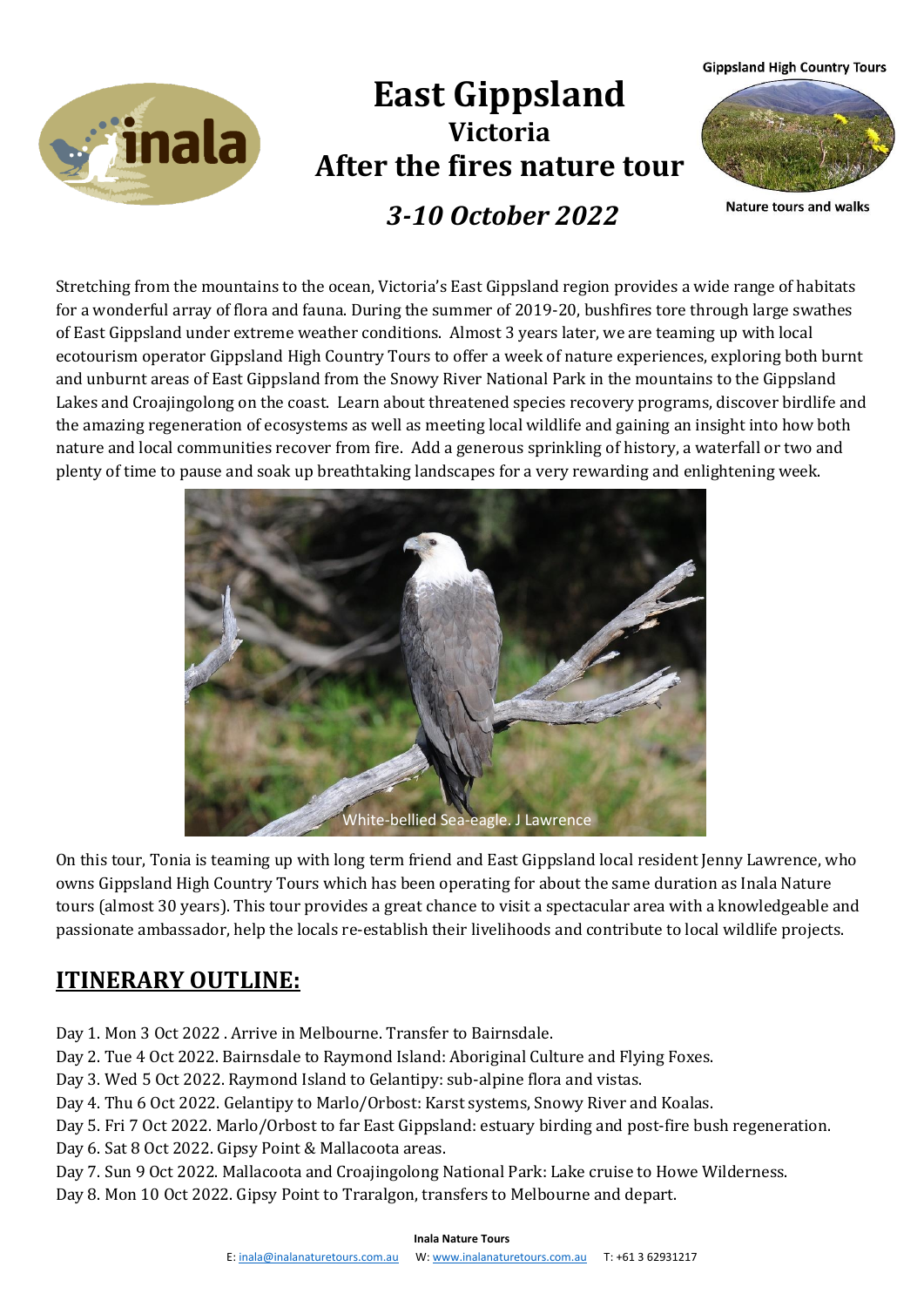**Gippsland High Country Tours** 



# **East Gippsland Victoria After the fires nature tour** *3-10 October 2022*



**Nature tours and walks** 

Stretching from the mountains to the ocean, Victoria's East Gippsland region provides a wide range of habitats for a wonderful array of flora and fauna. During the summer of 2019-20, bushfires tore through large swathes of East Gippsland under extreme weather conditions. Almost 3 years later, we are teaming up with local ecotourism operator Gippsland High Country Tours to offer a week of nature experiences, exploring both burnt and unburnt areas of East Gippsland from the Snowy River National Park in the mountains to the Gippsland Lakes and Croajingolong on the coast. Learn about threatened species recovery programs, discover birdlife and the amazing regeneration of ecosystems as well as meeting local wildlife and gaining an insight into how both nature and local communities recover from fire. Add a generous sprinkling of history, a waterfall or two and plenty of time to pause and soak up breathtaking landscapes for a very rewarding and enlightening week.



On this tour, Tonia is teaming up with long term friend and East Gippsland local resident Jenny Lawrence, who owns Gippsland High Country Tours which has been operating for about the same duration as Inala Nature tours (almost 30 years). This tour provides a great chance to visit a spectacular area with a knowledgeable and passionate ambassador, help the locals re-establish their livelihoods and contribute to local wildlife projects.

## **ITINERARY OUTLINE:**

Day 1. Mon 3 Oct 2022 . Arrive in Melbourne. Transfer to Bairnsdale.

Day 2. Tue 4 Oct 2022. Bairnsdale to Raymond Island: Aboriginal Culture and Flying Foxes.

Day 3. Wed 5 Oct 2022. Raymond Island to Gelantipy: sub-alpine flora and vistas.

Day 4. Thu 6 Oct 2022. Gelantipy to Marlo/Orbost: Karst systems, Snowy River and Koalas.

Day 5. Fri 7 Oct 2022. Marlo/Orbost to far East Gippsland: estuary birding and post-fire bush regeneration. Day 6. Sat 8 Oct 2022. Gipsy Point & Mallacoota areas.

Day 7. Sun 9 Oct 2022. Mallacoota and Croajingolong National Park: Lake cruise to Howe Wilderness. Day 8. Mon 10 Oct 2022. Gipsy Point to Traralgon, transfers to Melbourne and depart.

#### **Inala Nature Tours**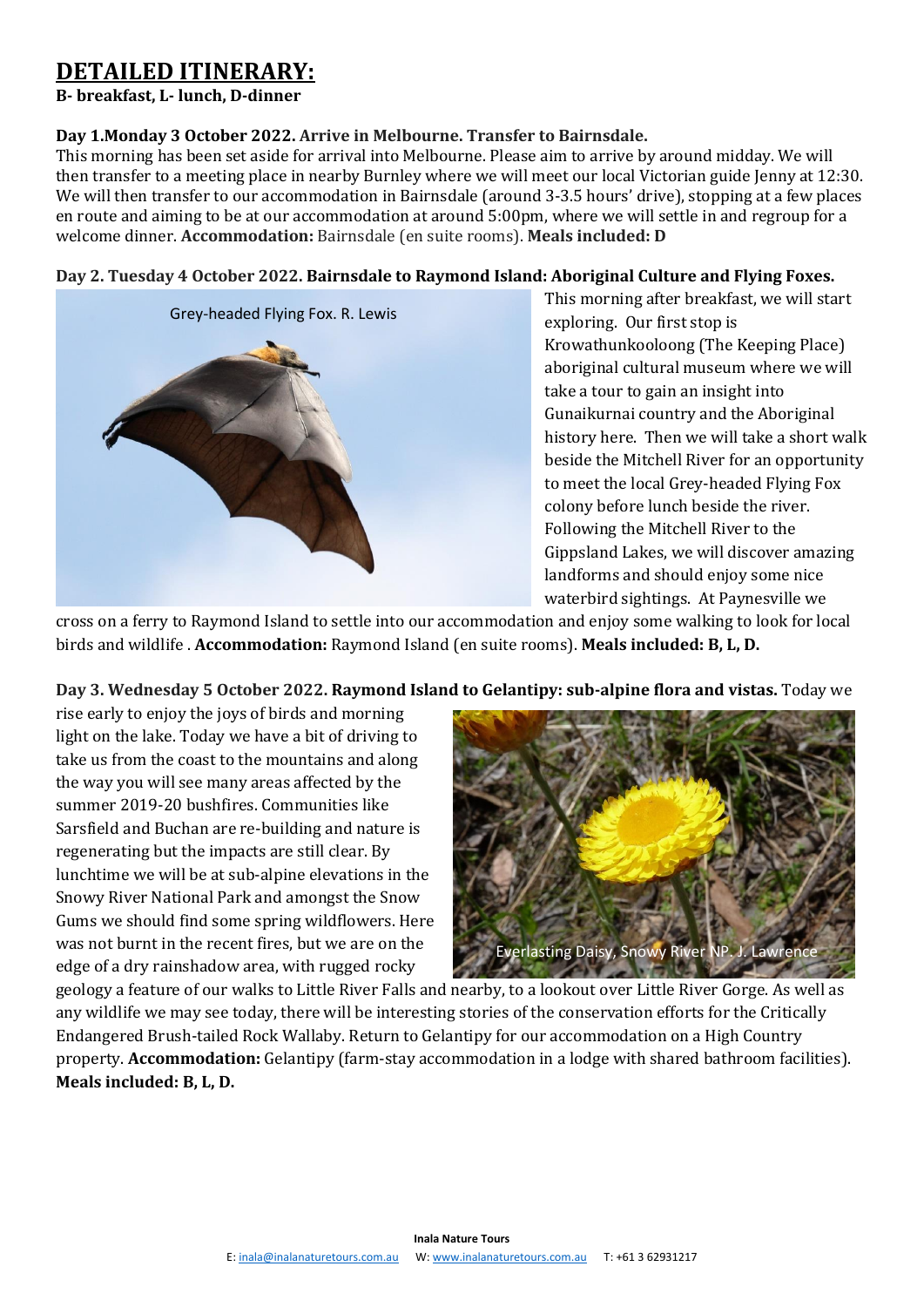### **DETAILED ITINERARY:**

#### **B- breakfast, L- lunch, D-dinner**

#### **Day 1.Monday 3 October 2022. Arrive in Melbourne. Transfer to Bairnsdale.**

This morning has been set aside for arrival into Melbourne. Please aim to arrive by around midday. We will then transfer to a meeting place in nearby Burnley where we will meet our local Victorian guide Jenny at 12:30. We will then transfer to our accommodation in Bairnsdale (around 3-3.5 hours' drive), stopping at a few places en route and aiming to be at our accommodation at around 5:00pm, where we will settle in and regroup for a welcome dinner. **Accommodation:** Bairnsdale (en suite rooms). **Meals included: D**

#### **Day 2. Tuesday 4 October 2022. Bairnsdale to Raymond Island: Aboriginal Culture and Flying Foxes.**



This morning after breakfast, we will start exploring. Our first stop is Krowathunkooloong (The Keeping Place) aboriginal cultural museum where we will take a tour to gain an insight into Gunaikurnai country and the Aboriginal history here. Then we will take a short walk beside the Mitchell River for an opportunity to meet the local Grey-headed Flying Fox colony before lunch beside the river. Following the Mitchell River to the Gippsland Lakes, we will discover amazing landforms and should enjoy some nice waterbird sightings. At Paynesville we

cross on a ferry to Raymond Island to settle into our accommodation and enjoy some walking to look for local birds and wildlife . **Accommodation:** Raymond Island (en suite rooms). **Meals included: B, L, D.**

#### **Day 3. Wednesday 5 October 2022. Raymond Island to Gelantipy: sub-alpine flora and vistas.** Today we

rise early to enjoy the joys of birds and morning light on the lake. Today we have a bit of driving to take us from the coast to the mountains and along the way you will see many areas affected by the summer 2019-20 bushfires. Communities like Sarsfield and Buchan are re-building and nature is regenerating but the impacts are still clear. By lunchtime we will be at sub-alpine elevations in the Snowy River National Park and amongst the Snow Gums we should find some spring wildflowers. Here was not burnt in the recent fires, but we are on the edge of a dry rainshadow area, with rugged rocky



geology a feature of our walks to Little River Falls and nearby, to a lookout over Little River Gorge. As well as any wildlife we may see today, there will be interesting stories of the conservation efforts for the Critically Endangered Brush-tailed Rock Wallaby. Return to Gelantipy for our accommodation on a High Country property. **Accommodation:** Gelantipy (farm-stay accommodation in a lodge with shared bathroom facilities). **Meals included: B, L, D.**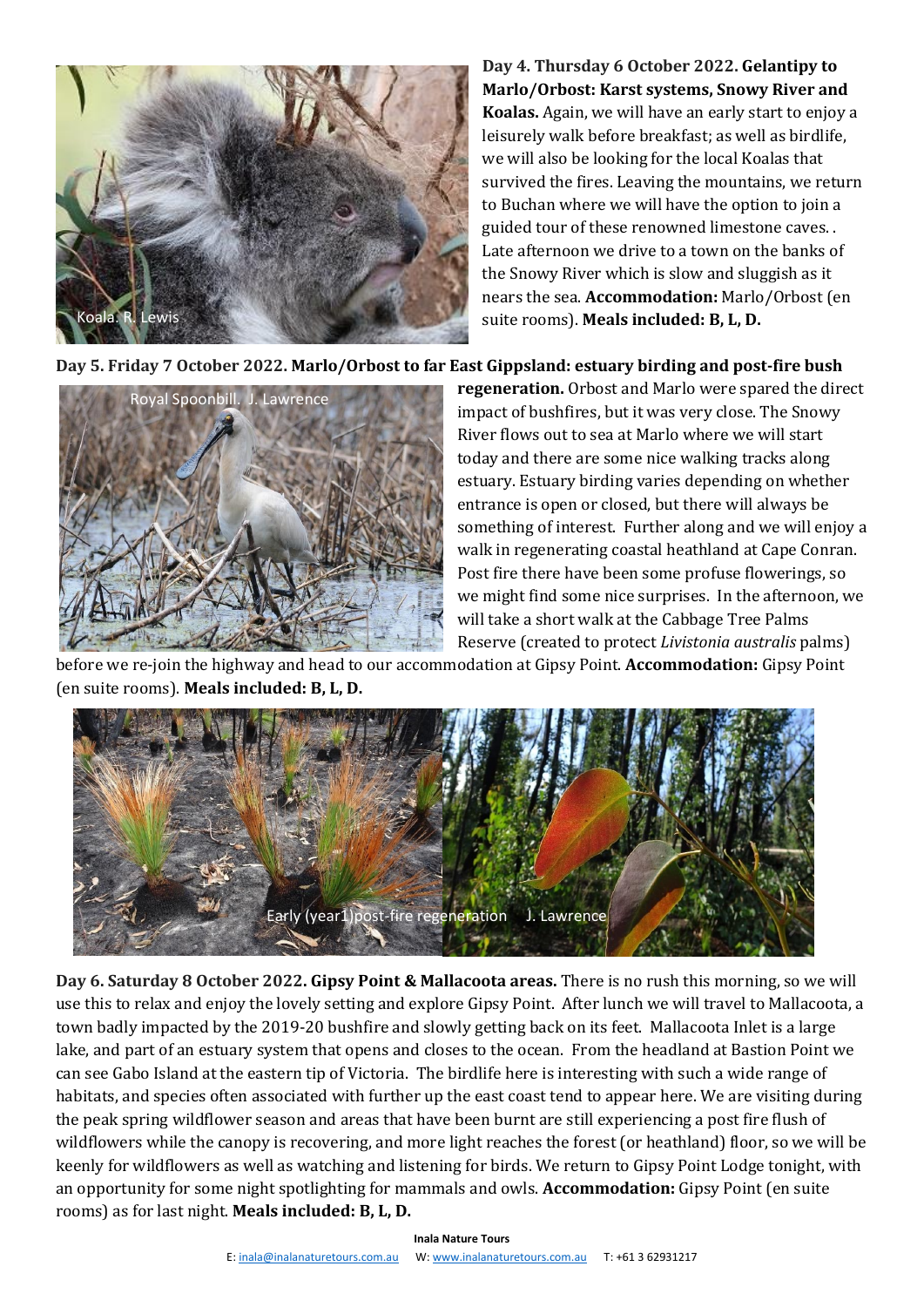

**Day 4. Thursday 6 October 2022. Gelantipy to Marlo/Orbost: Karst systems, Snowy River and Koalas.** Again, we will have an early start to enjoy a leisurely walk before breakfast; as well as birdlife, we will also be looking for the local Koalas that survived the fires. Leaving the mountains, we return to Buchan where we will have the option to join a guided tour of these renowned limestone caves. . Late afternoon we drive to a town on the banks of the Snowy River which is slow and sluggish as it nears the sea. **Accommodation:** Marlo/Orbost (en suite rooms). **Meals included: B, L, D.**

**Day 5. Friday 7 October 2022. Marlo/Orbost to far East Gippsland: estuary birding and post-fire bush** 



**regeneration.** Orbost and Marlo were spared the direct impact of bushfires, but it was very close. The Snowy River flows out to sea at Marlo where we will start today and there are some nice walking tracks along estuary. Estuary birding varies depending on whether entrance is open or closed, but there will always be something of interest. Further along and we will enjoy a walk in regenerating coastal heathland at Cape Conran. Post fire there have been some profuse flowerings, so we might find some nice surprises. In the afternoon, we will take a short walk at the Cabbage Tree Palms Reserve (created to protect *Livistonia australis* palms)

before we re-join the highway and head to our accommodation at Gipsy Point. **Accommodation:** Gipsy Point (en suite rooms). **Meals included: B, L, D.**



**Day 6. Saturday 8 October 2022. Gipsy Point & Mallacoota areas.** There is no rush this morning, so we will use this to relax and enjoy the lovely setting and explore Gipsy Point. After lunch we will travel to Mallacoota, a town badly impacted by the 2019-20 bushfire and slowly getting back on its feet. Mallacoota Inlet is a large lake, and part of an estuary system that opens and closes to the ocean. From the headland at Bastion Point we can see Gabo Island at the eastern tip of Victoria. The birdlife here is interesting with such a wide range of habitats, and species often associated with further up the east coast tend to appear here. We are visiting during the peak spring wildflower season and areas that have been burnt are still experiencing a post fire flush of wildflowers while the canopy is recovering, and more light reaches the forest (or heathland) floor, so we will be keenly for wildflowers as well as watching and listening for birds. We return to Gipsy Point Lodge tonight, with an opportunity for some night spotlighting for mammals and owls. **Accommodation:** Gipsy Point (en suite rooms) as for last night. **Meals included: B, L, D.**